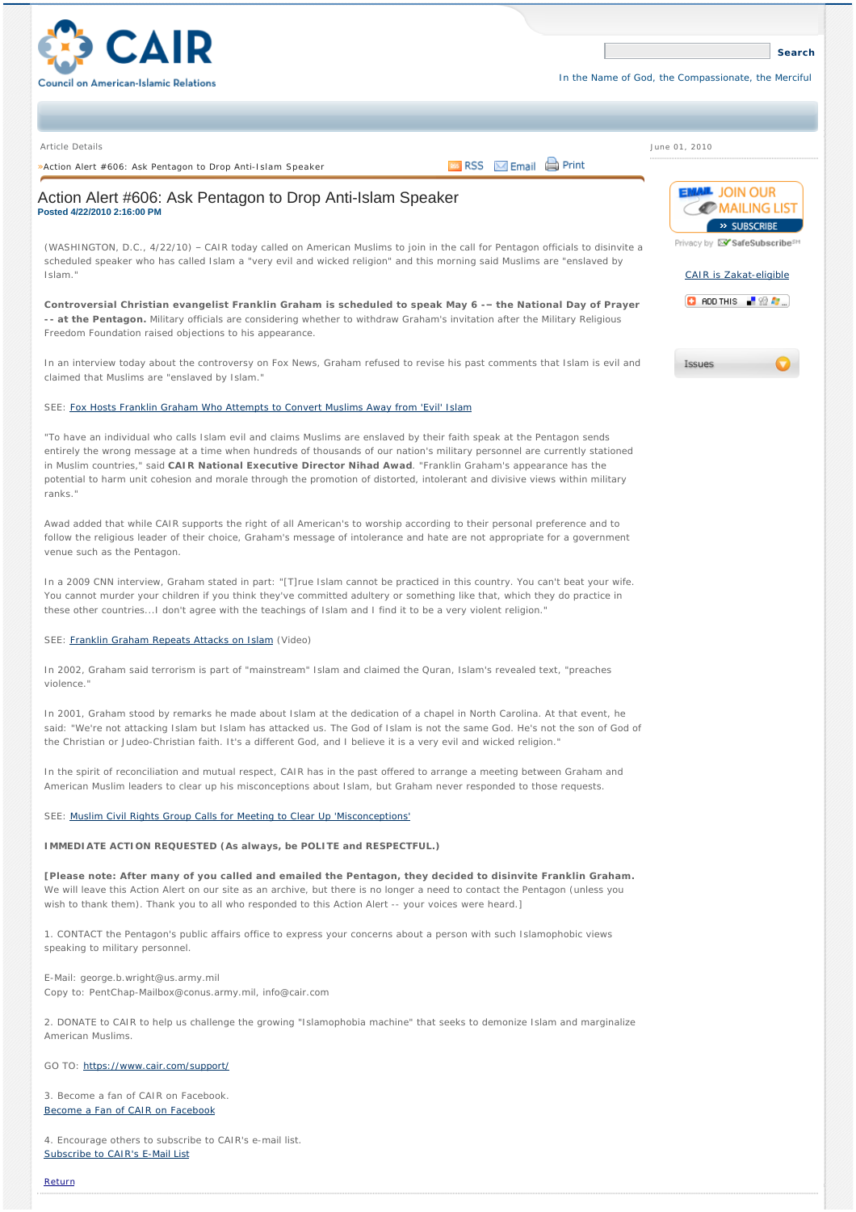

June 01, 2010

### Article Details

»ActionAlert #606: Ask Pentagon to Drop Anti-Islam Speaker **Action Contains Action Alert Action** Print

# Action Alert #606: Ask Pentagon to Drop Anti-Islam Speaker **Posted 4/22/2010 2:16:00 PM**

(WASHINGTON, D.C., 4/22/10) – CAIR today called on American Muslims to join in the call for Pentagon officials to disinvite a scheduled speaker who has called Islam a "very evil and wicked religion" and this morning said Muslims are "enslaved by Islam."

**Controversial Christian evangelist Franklin Graham is scheduled to speak May 6 -– the National Day of Prayer -- at the Pentagon.** Military officials are considering whether to withdraw Graham's invitation after the Military Religious Freedom Foundation raised objections to his appearance.

In an interview today about the controversy on Fox News, Graham refused to revise his past comments that Islam is evil and claimed that Muslims are "enslaved by Islam."

## SEE: [Fox Hosts Franklin Graham Who Attempts to Convert Muslims Away from 'Evil' Islam](http://mediamatters.org/mmtv/201004220005)

"To have an individual who calls Islam evil and claims Muslims are enslaved by their faith speak at the Pentagon sends entirely the wrong message at a time when hundreds of thousands of our nation's military personnel are currently stationed in Muslim countries," said **CAIR National Executive Director Nihad Awad**. "Franklin Graham's appearance has the potential to harm unit cohesion and morale through the promotion of distorted, intolerant and divisive views within military ranks.

Awad added that while CAIR supports the right of all American's to worship according to their personal preference and to follow the religious leader of their choice, Graham's message of intolerance and hate are not appropriate for a government venue such as the Pentagon.

In a 2009 CNN interview, Graham stated in part: "[T]rue Islam cannot be practiced in this country. You can't beat your wife. You cannot murder your children if you think they've committed adultery or something like that, which they do practice in these other countries...I don't agree with the teachings of Islam and I find it to be a very violent religion."

#### SEE: [Franklin Graham Repeats Attacks on Islam](http://www.youtube.com/watch?v=ByovBdIRV2o) (Video)

In 2002, Graham said terrorism is part of "mainstream" Islam and claimed the Quran, Islam's revealed text, "preaches violence."

In 2001, Graham stood by remarks he made about Islam at the dedication of a chapel in North Carolina. At that event, he said: "We're not attacking Islam but Islam has attacked us. The God of Islam is not the same God. He's not the son of God of the Christian or Judeo-Christian faith. It's a different God, and I believe it is a very evil and wicked religion."

In the spirit of reconciliation and mutual respect, CAIR has in the past offered to arrange a meeting between Graham and American Muslim leaders to clear up his misconceptions about Islam, but Graham never responded to those requests.

### SEE: [Muslim Civil Rights Group Calls for Meeting to Clear Up 'Misconceptions'](http://www.prnewswire.com/news-releases/cair-franklin-graham-repeats-attack-on-islam-79097332.html)

## **IMMEDIATE ACTION REQUESTED (As always, be POLITE and RESPECTFUL.)**

**[Please note: After many of you called and emailed the Pentagon, they decided to disinvite Franklin Graham.** We will leave this Action Alert on our site as an archive, but there is no longer a need to contact the Pentagon (unless you wish to thank them). Thank you to all who responded to this Action Alert -- your voices were heard.]

1. CONTACT the Pentagon's public affairs office to express your concerns about a person with such Islamophobic views speaking to military personnel.

E-Mail: george.b.wright@us.army.mil Copy to: PentChap-Mailbox@conus.army.mil, info@cair.com

2. DONATE to CAIR to help us challenge the growing "Islamophobia machine" that seeks to demonize Islam and marginalize American Muslims.

## GO TO: <https://www.cair.com/support/>

3. Become a fan of CAIR on Facebook. [Become a Fan of CAIR on Facebook](http://www.facebook.com/pages/CAIR/42590232694)

4. Encourage others to subscribe to CAIR's e-mail list. [Subscribe to CAIR's E-Mail List](http://tinyurl.com/cairsubscribe)

[Return](javascript:history.back();)



**[Search](javascript:__doPostBack()**

Privacy by **EV** SafeSubscribe<sup>sM</sup>